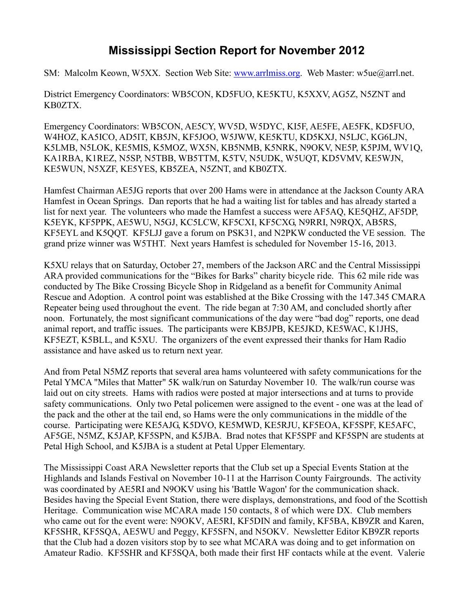## **Mississippi Section Report for November 2012**

SM: Malcolm Keown, W5XX. Section Web Site: [www.arrlmiss.org.](http://www.arrlmiss.org/) Web Master: w5ue@arrl.net.

District Emergency Coordinators: WB5CON, KD5FUO, KE5KTU, K5XXV, AG5Z, N5ZNT and KB0ZTX.

Emergency Coordinators: WB5CON, AE5CY, WV5D, W5DYC, KI5F, AE5FE, AE5FK, KD5FUO, W4HOZ, KA5ICO, AD5IT, KB5JN, KF5JOO, W5JWW, KE5KTU, KD5KXJ, N5LJC, KG6LJN, K5LMB, N5LOK, KE5MIS, K5MOZ, WX5N, KB5NMB, K5NRK, N9OKV, NE5P, K5PJM, WV1Q, KA1RBA, K1REZ, N5SP, N5TBB, WB5TTM, K5TV, N5UDK, W5UQT, KD5VMV, KE5WJN, KE5WUN, N5XZF, KE5YES, KB5ZEA, N5ZNT, and KB0ZTX.

Hamfest Chairman AE5JG reports that over 200 Hams were in attendance at the Jackson County ARA Hamfest in Ocean Springs. Dan reports that he had a waiting list for tables and has already started a list for next year. The volunteers who made the Hamfest a success were AF5AQ, KE5QHZ, AF5DP, K5EYK, KF5PPK, AE5WU, N5GJ, KC5LCW, KF5CXI, KF5CXG, N9RRI, N9RQX, AB5RS, KF5EYL and K5QQT. KF5LJJ gave a forum on PSK31, and N2PKW conducted the VE session. The grand prize winner was W5THT. Next years Hamfest is scheduled for November 15-16, 2013.

K5XU relays that on Saturday, October 27, members of the Jackson ARC and the Central Mississippi ARA provided communications for the "Bikes for Barks" charity bicycle ride. This 62 mile ride was conducted by The Bike Crossing Bicycle Shop in Ridgeland as a benefit for Community Animal Rescue and Adoption. A control point was established at the Bike Crossing with the 147.345 CMARA Repeater being used throughout the event. The ride began at 7:30 AM, and concluded shortly after noon. Fortunately, the most significant communications of the day were "bad dog" reports, one dead animal report, and traffic issues. The participants were KB5JPB, KE5JKD, KE5WAC, K1JHS, KF5EZT, K5BLL, and K5XU. The organizers of the event expressed their thanks for Ham Radio assistance and have asked us to return next year.

And from Petal N5MZ reports that several area hams volunteered with safety communications for the Petal YMCA "Miles that Matter" 5K walk/run on Saturday November 10. The walk/run course was laid out on city streets. Hams with radios were posted at major intersections and at turns to provide safety communications. Only two Petal policemen were assigned to the event - one was at the lead of the pack and the other at the tail end, so Hams were the only communications in the middle of the course. Participating were KE5AJG, K5DVO, KE5MWD, KE5RJU, KF5EOA, KF5SPF, KE5AFC, AF5GE, N5MZ, K5JAP, KF5SPN, and K5JBA. Brad notes that KF5SPF and KF5SPN are students at Petal High School, and K5JBA is a student at Petal Upper Elementary.

The Mississippi Coast ARA Newsletter reports that the Club set up a Special Events Station at the Highlands and Islands Festival on November 10-11 at the Harrison County Fairgrounds. The activity was coordinated by AE5RI and N9OKV using his 'Battle Wagon' for the communication shack. Besides having the Special Event Station, there were displays, demonstrations, and food of the Scottish Heritage. Communication wise MCARA made 150 contacts, 8 of which were DX. Club members who came out for the event were: N9OKV, AE5RI, KF5DIN and family, KF5BA, KB9ZR and Karen, KF5SHR, KF5SQA, AE5WU and Peggy, KF5SFN, and N5OKV. Newsletter Editor KB9ZR reports that the Club had a dozen visitors stop by to see what MCARA was doing and to get information on Amateur Radio. KF5SHR and KF5SQA, both made their first HF contacts while at the event. Valerie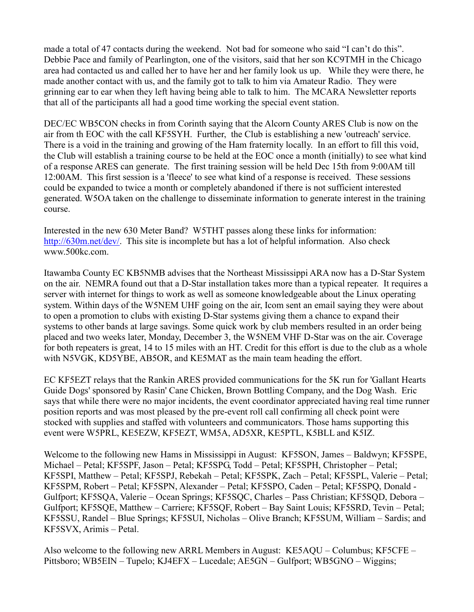made a total of 47 contacts during the weekend. Not bad for someone who said "I can't do this". Debbie Pace and family of Pearlington, one of the visitors, said that her son KC9TMH in the Chicago area had contacted us and called her to have her and her family look us up. While they were there, he made another contact with us, and the family got to talk to him via Amateur Radio. They were grinning ear to ear when they left having being able to talk to him. The MCARA Newsletter reports that all of the participants all had a good time working the special event station.

DEC/EC WB5CON checks in from Corinth saying that the Alcorn County ARES Club is now on the air from th EOC with the call KF5SYH. Further, the Club is establishing a new 'outreach' service. There is a void in the training and growing of the Ham fraternity locally. In an effort to fill this void, the Club will establish a training course to be held at the EOC once a month (initially) to see what kind of a response ARES can generate. The first training session will be held Dec 15th from 9:00AM till 12:00AM. This first session is a 'fleece' to see what kind of a response is received. These sessions could be expanded to twice a month or completely abandoned if there is not sufficient interested generated. W5OA taken on the challenge to disseminate information to generate interest in the training course.

Interested in the new 630 Meter Band? W5THT passes along these links for information: [http://630m.net/dev/.](http://630m.net/dev/) This site is incomplete but has a lot of helpful information. Also check www.500kc.com.

Itawamba County EC KB5NMB advises that the Northeast Mississippi ARA now has a D-Star System on the air. NEMRA found out that a D-Star installation takes more than a typical repeater. It requires a server with internet for things to work as well as someone knowledgeable about the Linux operating system. Within days of the W5NEM UHF going on the air, Icom sent an email saying they were about to open a promotion to clubs with existing D-Star systems giving them a chance to expand their systems to other bands at large savings. Some quick work by club members resulted in an order being placed and two weeks later, Monday, December 3, the W5NEM VHF D-Star was on the air. Coverage for both repeaters is great, 14 to 15 miles with an HT. Credit for this effort is due to the club as a whole with N5VGK, KD5YBE, AB5OR, and KE5MAT as the main team heading the effort.

EC KF5EZT relays that the Rankin ARES provided communications for the 5K run for 'Gallant Hearts Guide Dogs' sponsored by Rasin' Cane Chicken, Brown Bottling Company, and the Dog Wash. Eric says that while there were no major incidents, the event coordinator appreciated having real time runner position reports and was most pleased by the pre-event roll call confirming all check point were stocked with supplies and staffed with volunteers and communicators. Those hams supporting this event were W5PRL, KE5EZW, KF5EZT, WM5A, AD5XR, KE5PTL, K5BLL and K5IZ.

Welcome to the following new Hams in Mississippi in August: KF5SON, James – Baldwyn; KF5SPE, Michael – Petal; KF5SPF, Jason – Petal; KF5SPG, Todd – Petal; KF5SPH, Christopher – Petal; KF5SPI, Matthew – Petal; KF5SPJ, Rebekah – Petal; KF5SPK, Zach – Petal; KF5SPL, Valerie – Petal; KF5SPM, Robert – Petal; KF5SPN, Alexander – Petal; KF5SPO, Caden – Petal; KF5SPQ, Donald - Gulfport; KF5SQA, Valerie – Ocean Springs; KF5SQC, Charles – Pass Christian; KF5SQD, Debora – Gulfport; KF5SQE, Matthew – Carriere; KF5SQF, Robert – Bay Saint Louis; KF5SRD, Tevin – Petal; KF5SSU, Randel – Blue Springs; KF5SUI, Nicholas – Olive Branch; KF5SUM, William – Sardis; and KF5SVX, Arimis – Petal.

Also welcome to the following new ARRL Members in August: KE5AQU – Columbus; KF5CFE – Pittsboro; WB5EIN – Tupelo; KJ4EFX – Lucedale; AE5GN – Gulfport; WB5GNO – Wiggins;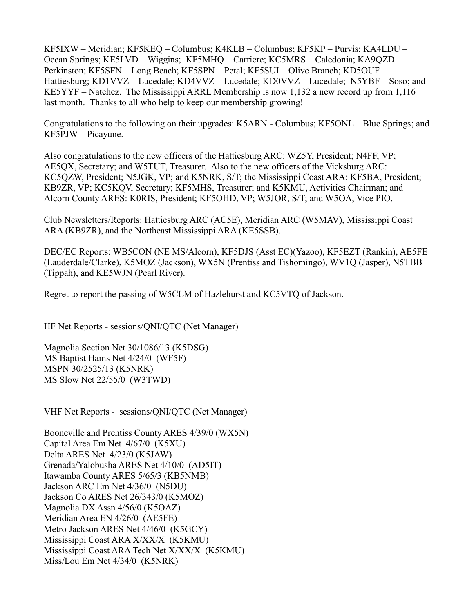KF5IXW – Meridian; KF5KEQ – Columbus; K4KLB – Columbus; KF5KP – Purvis; KA4LDU – Ocean Springs; KE5LVD – Wiggins; KF5MHQ – Carriere; KC5MRS – Caledonia; KA9QZD – Perkinston; KF5SFN – Long Beach; KF5SPN – Petal; KF5SUI – Olive Branch; KD5OUF – Hattiesburg; KD1VVZ – Lucedale; KD4VVZ – Lucedale; KD0VVZ – Lucedale; N5YBF – Soso; and KE5YYF – Natchez. The Mississippi ARRL Membership is now 1,132 a new record up from 1,116 last month. Thanks to all who help to keep our membership growing!

Congratulations to the following on their upgrades: K5ARN - Columbus; KF5ONL – Blue Springs; and KF5PJW – Picayune.

Also congratulations to the new officers of the Hattiesburg ARC: WZ5Y, President; N4FF, VP; AE5QX, Secretary; and W5TUT, Treasurer. Also to the new officers of the Vicksburg ARC: KC5QZW, President; N5JGK, VP; and K5NRK, S/T; the Mississippi Coast ARA: KF5BA, President; KB9ZR, VP; KC5KQV, Secretary; KF5MHS, Treasurer; and K5KMU, Activities Chairman; and Alcorn County ARES: K0RIS, President; KF5OHD, VP; W5JOR, S/T; and W5OA, Vice PIO.

Club Newsletters/Reports: Hattiesburg ARC (AC5E), Meridian ARC (W5MAV), Mississippi Coast ARA (KB9ZR), and the Northeast Mississippi ARA (KE5SSB).

DEC/EC Reports: WB5CON (NE MS/Alcorn), KF5DJS (Asst EC)(Yazoo), KF5EZT (Rankin), AE5FE (Lauderdale/Clarke), K5MOZ (Jackson), WX5N (Prentiss and Tishomingo), WV1Q (Jasper), N5TBB (Tippah), and KE5WJN (Pearl River).

Regret to report the passing of W5CLM of Hazlehurst and KC5VTQ of Jackson.

HF Net Reports - sessions/QNI/QTC (Net Manager)

Magnolia Section Net 30/1086/13 (K5DSG) MS Baptist Hams Net 4/24/0 (WF5F) MSPN 30/2525/13 (K5NRK) MS Slow Net 22/55/0 (W3TWD)

VHF Net Reports - sessions/QNI/QTC (Net Manager)

Booneville and Prentiss County ARES 4/39/0 (WX5N) Capital Area Em Net 4/67/0 (K5XU) Delta ARES Net 4/23/0 (K5JAW) Grenada/Yalobusha ARES Net 4/10/0 (AD5IT) Itawamba County ARES 5/65/3 (KB5NMB) Jackson ARC Em Net 4/36/0 (N5DU) Jackson Co ARES Net 26/343/0 (K5MOZ) Magnolia DX Assn 4/56/0 (K5OAZ) Meridian Area EN 4/26/0 (AE5FE) Metro Jackson ARES Net 4/46/0 (K5GCY) Mississippi Coast ARA X/XX/X (K5KMU) Mississippi Coast ARA Tech Net X/XX/X (K5KMU) Miss/Lou Em Net 4/34/0 (K5NRK)